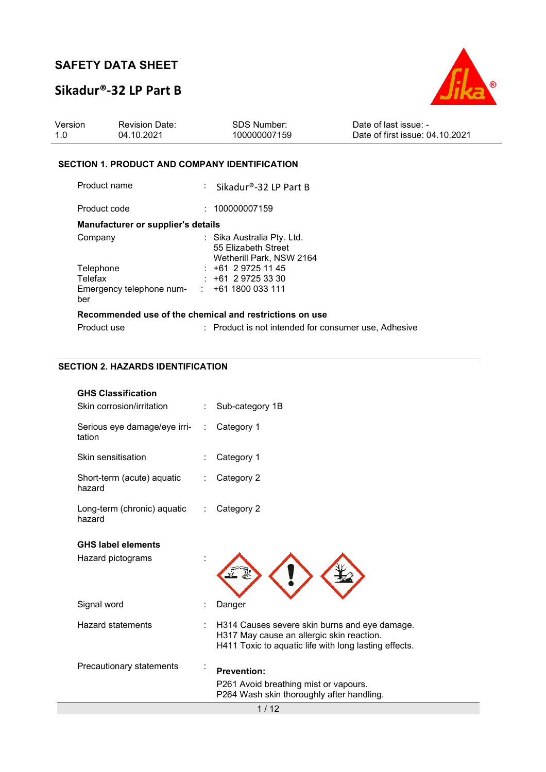### **Sikadur®-32 LP Part B**



| Version | <b>Revision Date:</b> | SDS Number:  | Date of last issue: -           |
|---------|-----------------------|--------------|---------------------------------|
| 1.0     | 04.10.2021            | 100000007159 | Date of first issue: 04.10.2021 |

#### **SECTION 1. PRODUCT AND COMPANY IDENTIFICATION**

| Product name                                               | : Sikadur®-32 LP Part B                                                       |
|------------------------------------------------------------|-------------------------------------------------------------------------------|
| Product code                                               | : 100000007159                                                                |
| Manufacturer or supplier's details                         |                                                                               |
| Company                                                    | : Sika Australia Pty. Ltd.<br>55 Elizabeth Street<br>Wetherill Park, NSW 2164 |
| Telephone                                                  | $: +61297251145$                                                              |
| Telefax                                                    | $: +61297253330$                                                              |
| Emergency telephone num- $\cdot$ : +61 1800 033 111<br>ber |                                                                               |
|                                                            | Recommended use of the chemical and restrictions on use                       |
| Product use                                                | : Product is not intended for consumer use, Adhesive                          |

#### **SECTION 2. HAZARDS IDENTIFICATION**

| <b>GHS Classification</b>              |                              |                                                                                                                                                     |
|----------------------------------------|------------------------------|-----------------------------------------------------------------------------------------------------------------------------------------------------|
| Skin corrosion/irritation              |                              | Sub-category 1B                                                                                                                                     |
| Serious eye damage/eye irri-<br>tation | ÷                            | Category 1                                                                                                                                          |
| Skin sensitisation                     |                              | Category 1                                                                                                                                          |
| Short-term (acute) aquatic<br>hazard   |                              | Category 2                                                                                                                                          |
| Long-term (chronic) aquatic<br>hazard  | $\mathcal{L}_{\mathrm{max}}$ | Category 2                                                                                                                                          |
| <b>GHS label elements</b>              |                              |                                                                                                                                                     |
| Hazard pictograms                      |                              |                                                                                                                                                     |
| Signal word                            |                              | Danger                                                                                                                                              |
| Hazard statements                      |                              | H314 Causes severe skin burns and eye damage.<br>H317 May cause an allergic skin reaction.<br>H411 Toxic to aquatic life with long lasting effects. |
| Precautionary statements               |                              | <b>Prevention:</b><br>P261 Avoid breathing mist or vapours.<br>P264 Wash skin thoroughly after handling.                                            |
|                                        |                              | 1/12                                                                                                                                                |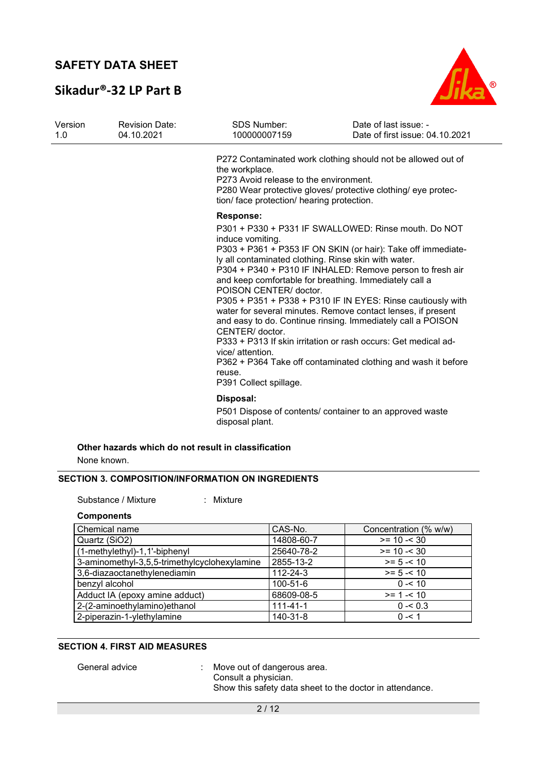### **Sikadur®-32 LP Part B**



| Version<br>1.0 | <b>Revision Date:</b><br>04.10.2021 | <b>SDS Number:</b><br>100000007159                                                                                                                                                                | Date of last issue: -<br>Date of first issue: 04.10.2021                                                                                                                                                                                                                                                                                                                                                                                                                                                                                                                     |
|----------------|-------------------------------------|---------------------------------------------------------------------------------------------------------------------------------------------------------------------------------------------------|------------------------------------------------------------------------------------------------------------------------------------------------------------------------------------------------------------------------------------------------------------------------------------------------------------------------------------------------------------------------------------------------------------------------------------------------------------------------------------------------------------------------------------------------------------------------------|
|                |                                     | the workplace.<br>P273 Avoid release to the environment.<br>tion/ face protection/ hearing protection.                                                                                            | P272 Contaminated work clothing should not be allowed out of<br>P280 Wear protective gloves/ protective clothing/ eye protec-                                                                                                                                                                                                                                                                                                                                                                                                                                                |
|                |                                     | <b>Response:</b><br>induce vomiting.<br>ly all contaminated clothing. Rinse skin with water.<br>POISON CENTER/ doctor.<br>CENTER/ doctor.<br>vice/ attention.<br>reuse.<br>P391 Collect spillage. | P301 + P330 + P331 IF SWALLOWED: Rinse mouth. Do NOT<br>P303 + P361 + P353 IF ON SKIN (or hair): Take off immediate-<br>P304 + P340 + P310 IF INHALED: Remove person to fresh air<br>and keep comfortable for breathing. Immediately call a<br>P305 + P351 + P338 + P310 IF IN EYES: Rinse cautiously with<br>water for several minutes. Remove contact lenses, if present<br>and easy to do. Continue rinsing. Immediately call a POISON<br>P333 + P313 If skin irritation or rash occurs: Get medical ad-<br>P362 + P364 Take off contaminated clothing and wash it before |
|                |                                     | Disposal:<br>disposal plant.                                                                                                                                                                      | P501 Dispose of contents/ container to an approved waste                                                                                                                                                                                                                                                                                                                                                                                                                                                                                                                     |

## **Other hazards which do not result in classification**

None known.

### **SECTION 3. COMPOSITION/INFORMATION ON INGREDIENTS**

Substance / Mixture : Mixture

#### **Components**

| Chemical name                                | CAS-No.        | Concentration (% w/w) |
|----------------------------------------------|----------------|-----------------------|
| Quartz (SiO2)                                | 14808-60-7     | $>= 10 - 30$          |
| (1-methylethyl)-1,1'-biphenyl                | 25640-78-2     | $>= 10 - 30$          |
| 3-aminomethyl-3,5,5-trimethylcyclohexylamine | 2855-13-2      | $>= 5 - 10$           |
| 3,6-diazaoctanethylenediamin                 | $112 - 24 - 3$ | $>= 5 - 10$           |
| benzyl alcohol                               | 100-51-6       | $0 - 510$             |
| Adduct IA (epoxy amine adduct)               | 68609-08-5     | $>= 1 - 10$           |
| 2-(2-aminoethylamino)ethanol                 | $111 - 41 - 1$ | $0 - 0.3$             |
| 2-piperazin-1-ylethylamine                   | 140-31-8       | $0 - 1$               |

#### **SECTION 4. FIRST AID MEASURES**

General advice : Move out of dangerous area.

Consult a physician.

Show this safety data sheet to the doctor in attendance.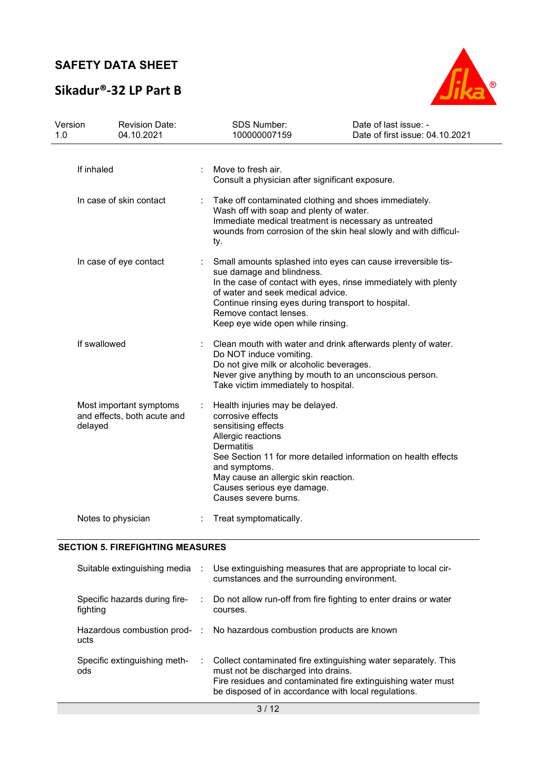# **Sikadur®-32 LP Part B**



| Version<br>1.0                                                    | <b>Revision Date:</b><br>04.10.2021 |  | SDS Number:<br>100000007159                                                                                                                                                                                                                                                                                             | Date of last issue: -<br>Date of first issue: 04.10.2021 |  |
|-------------------------------------------------------------------|-------------------------------------|--|-------------------------------------------------------------------------------------------------------------------------------------------------------------------------------------------------------------------------------------------------------------------------------------------------------------------------|----------------------------------------------------------|--|
| If inhaled                                                        |                                     |  | Move to fresh air.<br>Consult a physician after significant exposure.                                                                                                                                                                                                                                                   |                                                          |  |
| In case of skin contact                                           |                                     |  | Take off contaminated clothing and shoes immediately.<br>Wash off with soap and plenty of water.<br>Immediate medical treatment is necessary as untreated<br>wounds from corrosion of the skin heal slowly and with difficul-<br>ty.                                                                                    |                                                          |  |
|                                                                   | In case of eye contact              |  | Small amounts splashed into eyes can cause irreversible tis-<br>sue damage and blindness.<br>In the case of contact with eyes, rinse immediately with plenty<br>of water and seek medical advice.<br>Continue rinsing eyes during transport to hospital.<br>Remove contact lenses.<br>Keep eye wide open while rinsing. |                                                          |  |
| If swallowed                                                      |                                     |  | Clean mouth with water and drink afterwards plenty of water.<br>Do NOT induce vomiting.<br>Do not give milk or alcoholic beverages.<br>Never give anything by mouth to an unconscious person.<br>Take victim immediately to hospital.                                                                                   |                                                          |  |
| Most important symptoms<br>and effects, both acute and<br>delayed |                                     |  | Health injuries may be delayed.<br>corrosive effects<br>sensitising effects<br>Allergic reactions<br><b>Dermatitis</b><br>See Section 11 for more detailed information on health effects<br>and symptoms.<br>May cause an allergic skin reaction.<br>Causes serious eye damage.<br>Causes severe burns.                 |                                                          |  |
|                                                                   | Notes to physician                  |  | Treat symptomatically.                                                                                                                                                                                                                                                                                                  |                                                          |  |

#### **SECTION 5. FIREFIGHTING MEASURES**

| Suitable extinguishing media              | : Use extinguishing measures that are appropriate to local cir-<br>cumstances and the surrounding environment.                                                                                                                  |  |
|-------------------------------------------|---------------------------------------------------------------------------------------------------------------------------------------------------------------------------------------------------------------------------------|--|
| Specific hazards during fire-<br>fighting | $\therefore$ Do not allow run-off from fire fighting to enter drains or water<br>courses.                                                                                                                                       |  |
| ucts                                      | Hazardous combustion prod- : No hazardous combustion products are known                                                                                                                                                         |  |
| Specific extinguishing meth-<br>ods       | : Collect contaminated fire extinguishing water separately. This<br>must not be discharged into drains.<br>Fire residues and contaminated fire extinguishing water must<br>be disposed of in accordance with local regulations. |  |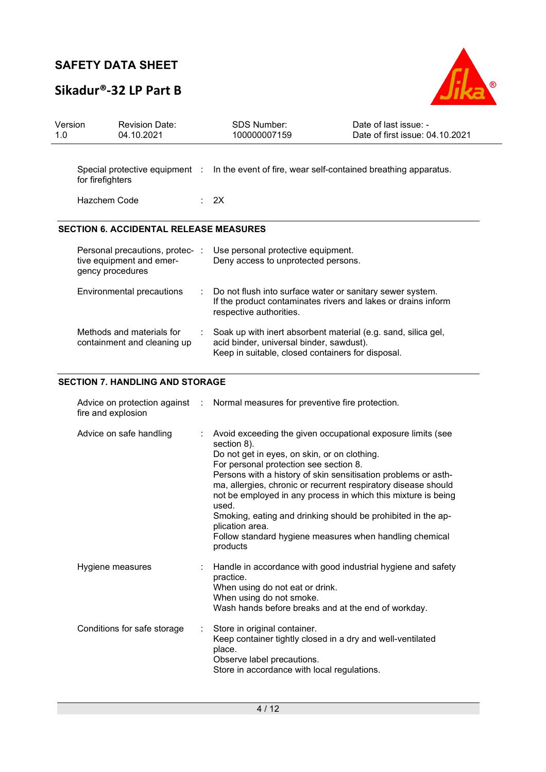# **Sikadur®-32 LP Part B**



| Version<br>1.0 |                                  | <b>Revision Date:</b><br>04.10.2021                         |   | <b>SDS Number:</b><br>100000007159                                                                                                                                                                                                                                                                                                                                                                                                                                                                                                           | Date of last issue: -<br>Date of first issue: 04.10.2021 |
|----------------|----------------------------------|-------------------------------------------------------------|---|----------------------------------------------------------------------------------------------------------------------------------------------------------------------------------------------------------------------------------------------------------------------------------------------------------------------------------------------------------------------------------------------------------------------------------------------------------------------------------------------------------------------------------------------|----------------------------------------------------------|
|                | for firefighters<br>Hazchem Code | Special protective equipment :                              |   | In the event of fire, wear self-contained breathing apparatus.<br>2X                                                                                                                                                                                                                                                                                                                                                                                                                                                                         |                                                          |
|                |                                  |                                                             |   |                                                                                                                                                                                                                                                                                                                                                                                                                                                                                                                                              |                                                          |
|                |                                  | <b>SECTION 6. ACCIDENTAL RELEASE MEASURES</b>               |   |                                                                                                                                                                                                                                                                                                                                                                                                                                                                                                                                              |                                                          |
|                | gency procedures                 | Personal precautions, protec- :<br>tive equipment and emer- |   | Use personal protective equipment.<br>Deny access to unprotected persons.                                                                                                                                                                                                                                                                                                                                                                                                                                                                    |                                                          |
|                |                                  | Environmental precautions                                   |   | Do not flush into surface water or sanitary sewer system.<br>If the product contaminates rivers and lakes or drains inform<br>respective authorities.                                                                                                                                                                                                                                                                                                                                                                                        |                                                          |
|                |                                  | Methods and materials for<br>containment and cleaning up    |   | Soak up with inert absorbent material (e.g. sand, silica gel,<br>acid binder, universal binder, sawdust).<br>Keep in suitable, closed containers for disposal.                                                                                                                                                                                                                                                                                                                                                                               |                                                          |
|                |                                  | <b>SECTION 7. HANDLING AND STORAGE</b>                      |   |                                                                                                                                                                                                                                                                                                                                                                                                                                                                                                                                              |                                                          |
|                | fire and explosion               | Advice on protection against                                |   | Normal measures for preventive fire protection.                                                                                                                                                                                                                                                                                                                                                                                                                                                                                              |                                                          |
|                |                                  | Advice on safe handling                                     |   | Avoid exceeding the given occupational exposure limits (see<br>section 8).<br>Do not get in eyes, on skin, or on clothing.<br>For personal protection see section 8.<br>Persons with a history of skin sensitisation problems or asth-<br>ma, allergies, chronic or recurrent respiratory disease should<br>not be employed in any process in which this mixture is being<br>used.<br>Smoking, eating and drinking should be prohibited in the ap-<br>plication area.<br>Follow standard hygiene measures when handling chemical<br>products |                                                          |
|                | Hygiene measures                 |                                                             |   | Handle in accordance with good industrial hygiene and safety<br>practice.<br>When using do not eat or drink.<br>When using do not smoke.<br>Wash hands before breaks and at the end of workday.                                                                                                                                                                                                                                                                                                                                              |                                                          |
|                |                                  | Conditions for safe storage                                 | ÷ | Store in original container.<br>Keep container tightly closed in a dry and well-ventilated<br>place.                                                                                                                                                                                                                                                                                                                                                                                                                                         |                                                          |

Observe label precautions.

Store in accordance with local regulations.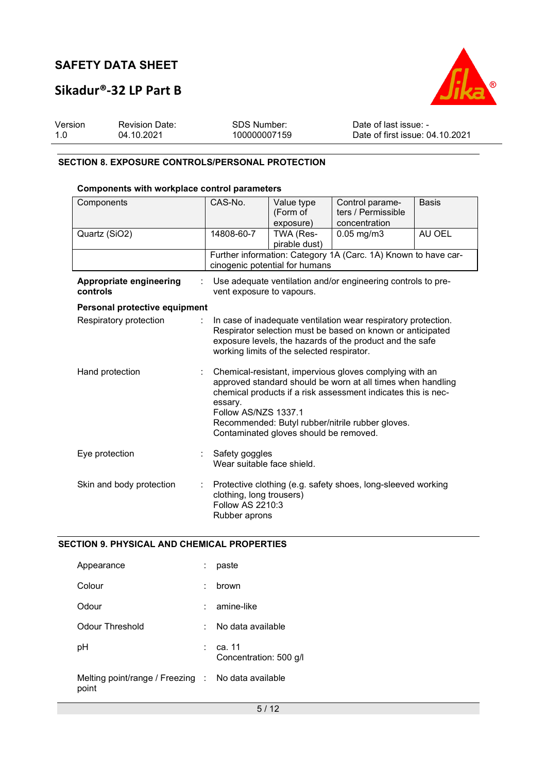### **Sikadur®-32 LP Part B**



| Version | <b>Revision Date:</b> | SDS Number:  | Date of last issue: -           |
|---------|-----------------------|--------------|---------------------------------|
| 1.0     | 04.10.2021            | 100000007159 | Date of first issue: 04.10.2021 |

#### **SECTION 8. EXPOSURE CONTROLS/PERSONAL PROTECTION**

#### **Components with workplace control parameters**

| Components                          | CAS-No.                                                                                                                                                                                                                                                                                                                  | Value type<br>(Form of<br>exposure) | Control parame-<br>ters / Permissible<br>concentration         | <b>Basis</b> |  |
|-------------------------------------|--------------------------------------------------------------------------------------------------------------------------------------------------------------------------------------------------------------------------------------------------------------------------------------------------------------------------|-------------------------------------|----------------------------------------------------------------|--------------|--|
| Quartz (SiO2)                       | 14808-60-7                                                                                                                                                                                                                                                                                                               | TWA (Res-<br>pirable dust)          | $0.05$ mg/m $3$                                                | AU OEL       |  |
|                                     |                                                                                                                                                                                                                                                                                                                          | cinogenic potential for humans      | Further information: Category 1A (Carc. 1A) Known to have car- |              |  |
| Appropriate engineering<br>controls | vent exposure to vapours.                                                                                                                                                                                                                                                                                                |                                     | Use adequate ventilation and/or engineering controls to pre-   |              |  |
| Personal protective equipment       |                                                                                                                                                                                                                                                                                                                          |                                     |                                                                |              |  |
| Respiratory protection              | In case of inadequate ventilation wear respiratory protection.<br>Respirator selection must be based on known or anticipated<br>exposure levels, the hazards of the product and the safe<br>working limits of the selected respirator.                                                                                   |                                     |                                                                |              |  |
| Hand protection                     | Chemical-resistant, impervious gloves complying with an<br>approved standard should be worn at all times when handling<br>chemical products if a risk assessment indicates this is nec-<br>essary.<br>Follow AS/NZS 1337.1<br>Recommended: Butyl rubber/nitrile rubber gloves.<br>Contaminated gloves should be removed. |                                     |                                                                |              |  |
| Eye protection                      | Safety goggles<br>Wear suitable face shield.                                                                                                                                                                                                                                                                             |                                     |                                                                |              |  |
| Skin and body protection            | Protective clothing (e.g. safety shoes, long-sleeved working<br>clothing, long trousers)<br>Follow AS 2210:3<br>Rubber aprons                                                                                                                                                                                            |                                     |                                                                |              |  |

#### **SECTION 9. PHYSICAL AND CHEMICAL PROPERTIES**

| Appearance                                                  |                 | paste                              |
|-------------------------------------------------------------|-----------------|------------------------------------|
| Colour                                                      | ÷               | brown                              |
| Odour                                                       | <b>Property</b> | amine-like                         |
| Odour Threshold                                             | ÷.              | No data available                  |
| рH                                                          |                 | : ca. 11<br>Concentration: 500 g/l |
| Melting point/range / Freezing : No data available<br>point |                 |                                    |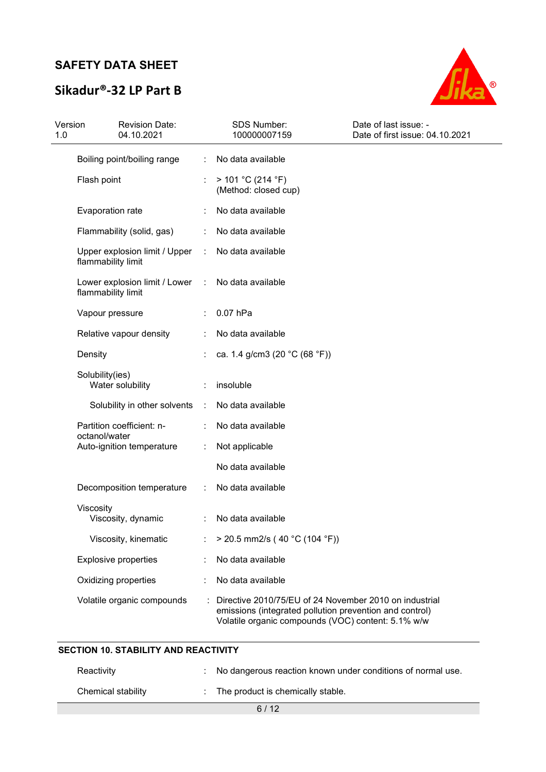## **Sikadur®-32 LP Part B**



| Version<br>1.0 | <b>Revision Date:</b><br>04.10.2021                 |   | SDS Number:<br>100000007159                                                                                                                                             | Date of last issue: -<br>Date of first issue: 04.10.2021 |
|----------------|-----------------------------------------------------|---|-------------------------------------------------------------------------------------------------------------------------------------------------------------------------|----------------------------------------------------------|
|                | Boiling point/boiling range                         |   | No data available                                                                                                                                                       |                                                          |
|                | Flash point                                         |   | > 101 °C (214 °F)<br>(Method: closed cup)                                                                                                                               |                                                          |
|                | Evaporation rate                                    |   | No data available                                                                                                                                                       |                                                          |
|                | Flammability (solid, gas)                           |   | No data available                                                                                                                                                       |                                                          |
|                | Upper explosion limit / Upper<br>flammability limit | ÷ | No data available                                                                                                                                                       |                                                          |
|                | Lower explosion limit / Lower<br>flammability limit | ÷ | No data available                                                                                                                                                       |                                                          |
|                | Vapour pressure                                     |   | 0.07 hPa                                                                                                                                                                |                                                          |
|                | Relative vapour density                             |   | No data available                                                                                                                                                       |                                                          |
|                | Density                                             |   | ca. 1.4 g/cm3 (20 °C (68 °F))                                                                                                                                           |                                                          |
|                | Solubility(ies)<br>Water solubility                 |   | insoluble                                                                                                                                                               |                                                          |
|                | Solubility in other solvents                        | ÷ | No data available                                                                                                                                                       |                                                          |
|                | Partition coefficient: n-<br>octanol/water          |   | No data available                                                                                                                                                       |                                                          |
|                | Auto-ignition temperature                           |   | Not applicable                                                                                                                                                          |                                                          |
|                |                                                     |   | No data available                                                                                                                                                       |                                                          |
|                | Decomposition temperature                           |   | No data available                                                                                                                                                       |                                                          |
|                | Viscosity<br>Viscosity, dynamic                     |   | No data available                                                                                                                                                       |                                                          |
|                | Viscosity, kinematic                                |   | $>$ 20.5 mm2/s (40 °C (104 °F))                                                                                                                                         |                                                          |
|                | <b>Explosive properties</b>                         |   | No data available                                                                                                                                                       |                                                          |
|                | Oxidizing properties                                |   | No data available                                                                                                                                                       |                                                          |
|                | Volatile organic compounds                          |   | Directive 2010/75/EU of 24 November 2010 on industrial<br>emissions (integrated pollution prevention and control)<br>Volatile organic compounds (VOC) content: 5.1% w/w |                                                          |

| : No dangerous reaction known under conditions of normal use. |
|---------------------------------------------------------------|
|                                                               |

**SECTION 10. STABILITY AND REACTIVITY**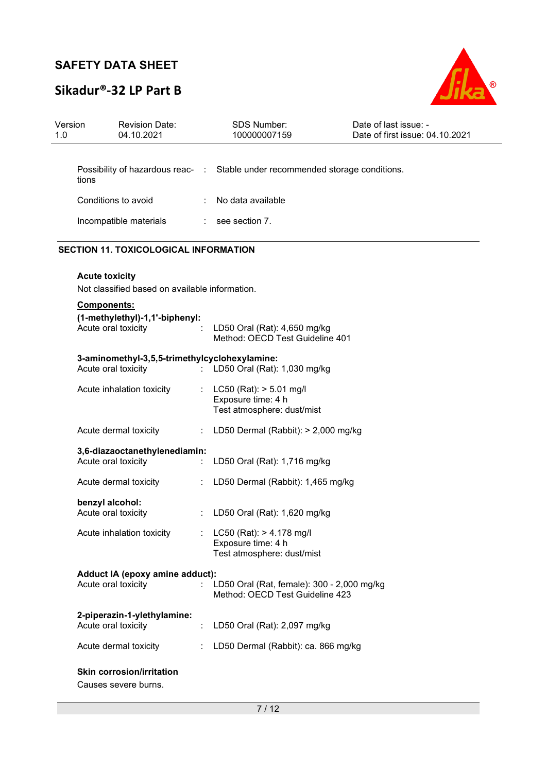# **Sikadur®-32 LP Part B**



| Version<br>1.0 | <b>Revision Date:</b><br>04.10.2021                                     |    | <b>SDS Number:</b><br>100000007159                                               | Date of last issue: -<br>Date of first issue: 04.10.2021 |
|----------------|-------------------------------------------------------------------------|----|----------------------------------------------------------------------------------|----------------------------------------------------------|
| tions          |                                                                         |    | Possibility of hazardous reac- : Stable under recommended storage conditions.    |                                                          |
|                | Conditions to avoid                                                     |    | No data available                                                                |                                                          |
|                | Incompatible materials                                                  |    | $:$ see section 7.                                                               |                                                          |
|                | <b>SECTION 11. TOXICOLOGICAL INFORMATION</b>                            |    |                                                                                  |                                                          |
|                | <b>Acute toxicity</b><br>Not classified based on available information. |    |                                                                                  |                                                          |
|                | Components:                                                             |    |                                                                                  |                                                          |
|                | (1-methylethyl)-1,1'-biphenyl:<br>Acute oral toxicity                   |    | LD50 Oral (Rat): 4,650 mg/kg<br>Method: OECD Test Guideline 401                  |                                                          |
|                | 3-aminomethyl-3,5,5-trimethylcyclohexylamine:<br>Acute oral toxicity    |    | : LD50 Oral (Rat): 1,030 mg/kg                                                   |                                                          |
|                | Acute inhalation toxicity                                               | ÷. | $LC50$ (Rat): $> 5.01$ mg/l<br>Exposure time: 4 h<br>Test atmosphere: dust/mist  |                                                          |
|                | Acute dermal toxicity                                                   | ÷. | LD50 Dermal (Rabbit): > 2,000 mg/kg                                              |                                                          |
|                | 3,6-diazaoctanethylenediamin:<br>Acute oral toxicity                    |    | LD50 Oral (Rat): 1,716 mg/kg                                                     |                                                          |
|                | Acute dermal toxicity                                                   |    | LD50 Dermal (Rabbit): 1,465 mg/kg                                                |                                                          |
|                | benzyl alcohol:<br>Acute oral toxicity                                  |    | LD50 Oral (Rat): 1,620 mg/kg                                                     |                                                          |
|                | Acute inhalation toxicity                                               |    | $LC50$ (Rat): $> 4.178$ mg/l<br>Exposure time: 4 h<br>Test atmosphere: dust/mist |                                                          |
|                | Adduct IA (epoxy amine adduct):<br>Acute oral toxicity                  |    | LD50 Oral (Rat, female): 300 - 2,000 mg/kg<br>Method: OECD Test Guideline 423    |                                                          |
|                | 2-piperazin-1-ylethylamine:<br>Acute oral toxicity                      |    | LD50 Oral (Rat): 2,097 mg/kg                                                     |                                                          |
|                | Acute dermal toxicity                                                   |    | LD50 Dermal (Rabbit): ca. 866 mg/kg                                              |                                                          |
|                | <b>Skin corrosion/irritation</b><br>Causes severe burns.                |    |                                                                                  |                                                          |

7 / 12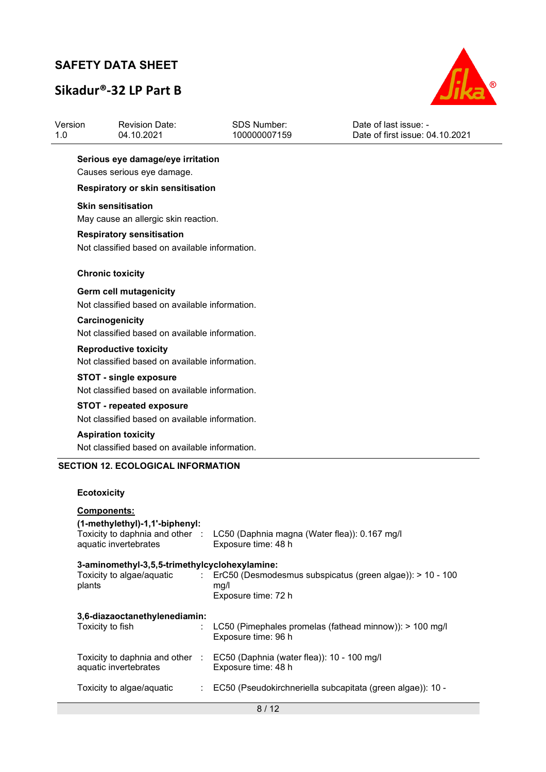# **Sikadur®-32 LP Part B**



| Version | Revision Date: | SDS Number:  | Date of last issue: -           |
|---------|----------------|--------------|---------------------------------|
| 1.0     | 04.10.2021     | 100000007159 | Date of first issue: 04.10.2021 |
|         |                |              |                                 |

### **Serious eye damage/eye irritation**

Causes serious eye damage.

#### **Respiratory or skin sensitisation**

#### **Skin sensitisation**

May cause an allergic skin reaction.

#### **Respiratory sensitisation**

Not classified based on available information.

#### **Chronic toxicity**

#### **Germ cell mutagenicity**

Not classified based on available information.

### **Carcinogenicity**

Not classified based on available information.

#### **Reproductive toxicity**  Not classified based on available information.

#### **STOT - single exposure**

Not classified based on available information.

#### **STOT - repeated exposure**

Not classified based on available information.

#### **Aspiration toxicity**  Not classified based on available information.

#### **SECTION 12. ECOLOGICAL INFORMATION**

#### **Ecotoxicity**

| <b>Components:</b><br>(1-methylethyl)-1,1'-biphenyl:<br>Toxicity to daphnia and other :<br>aquatic invertebrates | LC50 (Daphnia magna (Water flea)): 0.167 mg/l<br>Exposure time: 48 h                                                 |
|------------------------------------------------------------------------------------------------------------------|----------------------------------------------------------------------------------------------------------------------|
| 3-aminomethyl-3,5,5-trimethylcyclohexylamine:<br>plants                                                          | Toxicity to algae/aquatic : ErC50 (Desmodesmus subspicatus (green algae)): > 10 - 100<br>mq/l<br>Exposure time: 72 h |
| 3,6-diazaoctanethylenediamin:<br>Toxicity to fish                                                                | LC50 (Pimephales promelas (fathead minnow)): > 100 mg/l<br>Exposure time: 96 h                                       |
| Toxicity to daphnia and other :<br>aquatic invertebrates                                                         | EC50 (Daphnia (water flea)): $10 - 100$ mg/l<br>Exposure time: 48 h                                                  |
| Toxicity to algae/aquatic                                                                                        | EC50 (Pseudokirchneriella subcapitata (green algae)): 10 -                                                           |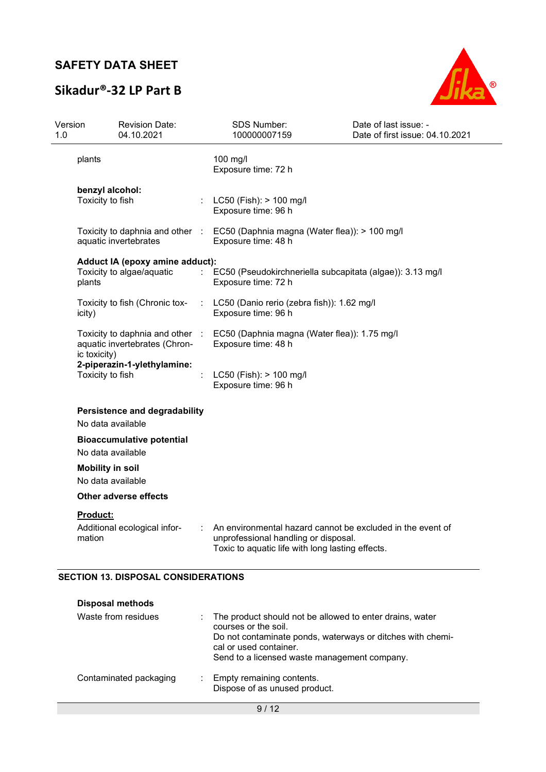## **Sikadur®-32 LP Part B**



| Version<br>1.0 |                                              | <b>Revision Date:</b><br>04.10.2021                                                           |        | SDS Number:<br>100000007159                                                                                                                            | Date of last issue: -<br>Date of first issue: 04.10.2021 |
|----------------|----------------------------------------------|-----------------------------------------------------------------------------------------------|--------|--------------------------------------------------------------------------------------------------------------------------------------------------------|----------------------------------------------------------|
|                | plants                                       |                                                                                               |        | 100 mg/l<br>Exposure time: 72 h                                                                                                                        |                                                          |
|                | benzyl alcohol:<br>Toxicity to fish          |                                                                                               |        | LC50 (Fish): > 100 mg/l<br>Exposure time: 96 h                                                                                                         |                                                          |
|                |                                              | Toxicity to daphnia and other :<br>aquatic invertebrates                                      |        | EC50 (Daphnia magna (Water flea)): > 100 mg/l<br>Exposure time: 48 h                                                                                   |                                                          |
|                | plants                                       | Adduct IA (epoxy amine adduct):<br>Toxicity to algae/aquatic                                  |        | EC50 (Pseudokirchneriella subcapitata (algae)): 3.13 mg/l<br>Exposure time: 72 h                                                                       |                                                          |
|                | icity)                                       | Toxicity to fish (Chronic tox-                                                                |        | LC50 (Danio rerio (zebra fish)): 1.62 mg/l<br>Exposure time: 96 h                                                                                      |                                                          |
|                | ic toxicity)                                 | Toxicity to daphnia and other<br>aquatic invertebrates (Chron-<br>2-piperazin-1-ylethylamine: | $\sim$ | EC50 (Daphnia magna (Water flea)): 1.75 mg/l<br>Exposure time: 48 h                                                                                    |                                                          |
|                | Toxicity to fish                             |                                                                                               |        | LC50 (Fish): > 100 mg/l<br>Exposure time: 96 h                                                                                                         |                                                          |
|                | No data available                            | Persistence and degradability                                                                 |        |                                                                                                                                                        |                                                          |
|                | No data available                            | <b>Bioaccumulative potential</b>                                                              |        |                                                                                                                                                        |                                                          |
|                | <b>Mobility in soil</b><br>No data available |                                                                                               |        |                                                                                                                                                        |                                                          |
|                |                                              | <b>Other adverse effects</b>                                                                  |        |                                                                                                                                                        |                                                          |
|                | <b>Product:</b><br>mation                    | Additional ecological infor-                                                                  |        | An environmental hazard cannot be excluded in the event of<br>unprofessional handling or disposal.<br>Toxic to aquatic life with long lasting effects. |                                                          |

### **SECTION 13. DISPOSAL CONSIDERATIONS**

| <b>Disposal methods</b> |                                                                                                                                                                                                                          |  |
|-------------------------|--------------------------------------------------------------------------------------------------------------------------------------------------------------------------------------------------------------------------|--|
| Waste from residues     | The product should not be allowed to enter drains, water<br>courses or the soil.<br>Do not contaminate ponds, waterways or ditches with chemi-<br>cal or used container.<br>Send to a licensed waste management company. |  |
| Contaminated packaging  | : Empty remaining contents.<br>Dispose of as unused product.                                                                                                                                                             |  |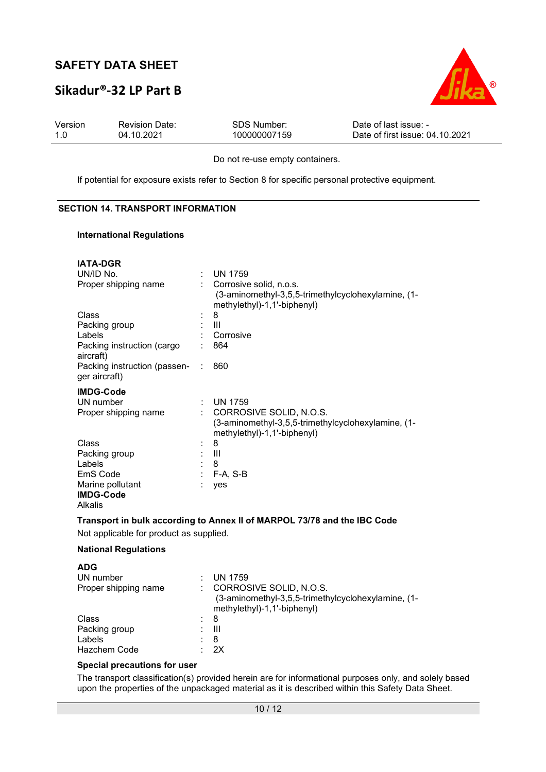### **Sikadur®-32 LP Part B**



| Version | <b>Revision Date:</b> | SDS Number:  | Date of last issue: -           |
|---------|-----------------------|--------------|---------------------------------|
| 1.0     | 04.10.2021            | 100000007159 | Date of first issue: 04.10.2021 |

Do not re-use empty containers.

If potential for exposure exists refer to Section 8 for specific personal protective equipment.

#### **SECTION 14. TRANSPORT INFORMATION**

#### **International Regulations**

| <b>IATA-DGR</b>                                        |   |                                                                                                              |
|--------------------------------------------------------|---|--------------------------------------------------------------------------------------------------------------|
| UN/ID No.                                              |   | <b>UN 1759</b>                                                                                               |
| Proper shipping name                                   |   | Corrosive solid, n.o.s.<br>(3-aminomethyl-3,5,5-trimethylcyclohexylamine, (1-<br>methylethyl)-1,1'-biphenyl) |
| Class                                                  |   | 8                                                                                                            |
| Packing group                                          |   | Ш                                                                                                            |
| Labels                                                 |   | Corrosive                                                                                                    |
| Packing instruction (cargo<br>aircraft)                |   | 864                                                                                                          |
| Packing instruction (passen-<br>ger aircraft)          | ÷ | 860                                                                                                          |
| <b>IMDG-Code</b>                                       |   |                                                                                                              |
| UN number                                              |   | <b>UN 1759</b>                                                                                               |
| Proper shipping name                                   |   | CORROSIVE SOLID, N.O.S.<br>(3-aminomethyl-3,5,5-trimethylcyclohexylamine, (1-<br>methylethyl)-1,1'-biphenyl) |
| Class                                                  |   | 8                                                                                                            |
| Packing group                                          |   | Ш                                                                                                            |
| Labels                                                 |   | 8                                                                                                            |
| EmS Code                                               |   | F-A, S-B                                                                                                     |
| Marine pollutant<br><b>IMDG-Code</b><br><b>Alkalis</b> |   | yes                                                                                                          |
|                                                        |   |                                                                                                              |

#### **Transport in bulk according to Annex II of MARPOL 73/78 and the IBC Code**

Not applicable for product as supplied.

#### **National Regulations**

| <b>ADG</b><br>UN number<br>Proper shipping name |     | <b>UN 1759</b><br>CORROSIVE SOLID, N.O.S.<br>(3-aminomethyl-3,5,5-trimethylcyclohexylamine, (1-<br>methylethyl)-1,1'-biphenyl) |
|-------------------------------------------------|-----|--------------------------------------------------------------------------------------------------------------------------------|
| Class                                           | : 8 |                                                                                                                                |
| Packing group<br>Labels<br><b>Hazchem Code</b>  |     | Ш<br>8<br>2X                                                                                                                   |

#### **Special precautions for user**

The transport classification(s) provided herein are for informational purposes only, and solely based upon the properties of the unpackaged material as it is described within this Safety Data Sheet.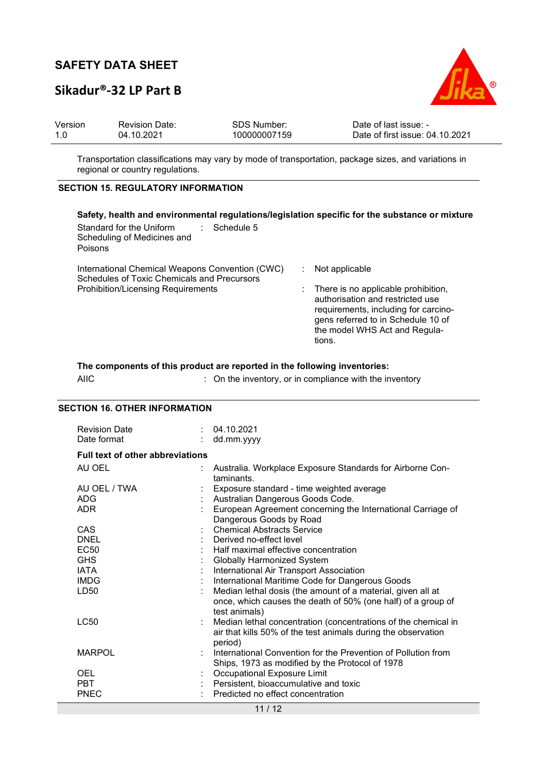### **Sikadur®-32 LP Part B**



| Version | <b>Revision Date:</b> | SDS Number:  | Date of last issue: -           |
|---------|-----------------------|--------------|---------------------------------|
| 1.0     | 04.10.2021            | 100000007159 | Date of first issue: 04.10.2021 |

Transportation classifications may vary by mode of transportation, package sizes, and variations in regional or country regulations.

#### **SECTION 15. REGULATORY INFORMATION**

| Safety, health and environmental regulations/legislation specific for the substance or mixture<br>Standard for the Uniform<br>$\therefore$ Schedule 5<br>Scheduling of Medicines and<br>Poisons |                                                                                                                                                                                                                    |
|-------------------------------------------------------------------------------------------------------------------------------------------------------------------------------------------------|--------------------------------------------------------------------------------------------------------------------------------------------------------------------------------------------------------------------|
| International Chemical Weapons Convention (CWC)<br>Schedules of Toxic Chemicals and Precursors<br><b>Prohibition/Licensing Requirements</b>                                                     | Not applicable<br>There is no applicable prohibition,<br>authorisation and restricted use<br>requirements, including for carcino-<br>gens referred to in Schedule 10 of<br>the model WHS Act and Regula-<br>tions. |

**The components of this product are reported in the following inventories:**  AIIC : On the inventory, or in compliance with the inventory

#### **SECTION 16. OTHER INFORMATION**

| <b>Revision Date</b><br>Date format      | 04.10.2021<br>dd.mm.yyyy                                                                                                                                                |
|------------------------------------------|-------------------------------------------------------------------------------------------------------------------------------------------------------------------------|
| <b>Full text of other abbreviations</b>  |                                                                                                                                                                         |
| AU OEL                                   | Australia. Workplace Exposure Standards for Airborne Con-<br>taminants.                                                                                                 |
| AU OEL / TWA<br><b>ADG</b><br><b>ADR</b> | Exposure standard - time weighted average<br>Australian Dangerous Goods Code.<br>European Agreement concerning the International Carriage of<br>Dangerous Goods by Road |
| CAS<br><b>DNEL</b>                       | <b>Chemical Abstracts Service</b><br>: Derived no-effect level                                                                                                          |
| EC50<br><b>GHS</b>                       | Half maximal effective concentration<br><b>Globally Harmonized System</b>                                                                                               |
| <b>IATA</b><br><b>IMDG</b>               | International Air Transport Association<br>International Maritime Code for Dangerous Goods                                                                              |
| LD50                                     | Median lethal dosis (the amount of a material, given all at<br>once, which causes the death of 50% (one half) of a group of<br>test animals)                            |
| LC50                                     | Median lethal concentration (concentrations of the chemical in<br>air that kills 50% of the test animals during the observation<br>period)                              |
| <b>MARPOL</b>                            | International Convention for the Prevention of Pollution from<br>Ships, 1973 as modified by the Protocol of 1978                                                        |
| OEL<br><b>PBT</b><br><b>PNEC</b>         | Occupational Exposure Limit<br>Persistent, bioaccumulative and toxic<br>Predicted no effect concentration                                                               |

11 / 12